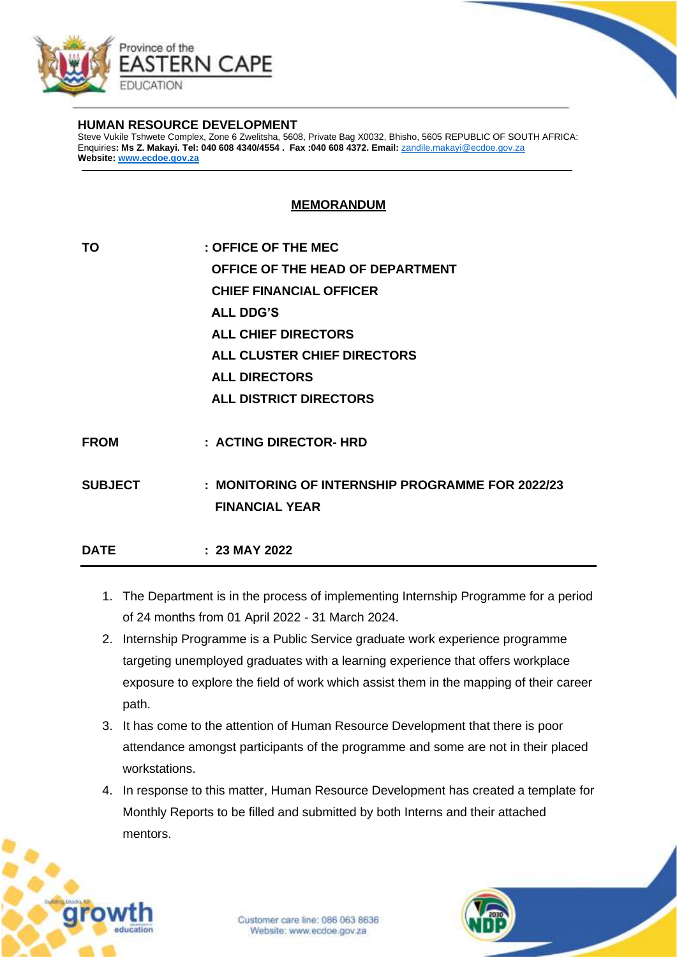

## **HUMAN RESOURCE DEVELOPMENT**

Steve Vukile Tshwete Complex, Zone 6 Zwelitsha, 5608, Private Bag X0032, Bhisho, 5605 REPUBLIC OF SOUTH AFRICA: Enquiries**: Ms Z. Makayi. Tel: 040 608 4340/4554 . Fax :040 608 4372. Email:** [zandile.makayi@ecdoe.gov.za](mailto:zandile.makayi@ecdoe.gov.za) **Website: [www.ecdoe.gov.za](http://www.ecdoe.gov.za/)**

## **MEMORANDUM**

| : OFFICE OF THE MEC                              |
|--------------------------------------------------|
| OFFICE OF THE HEAD OF DEPARTMENT                 |
| <b>CHIEF FINANCIAL OFFICER</b>                   |
| <b>ALL DDG'S</b>                                 |
| <b>ALL CHIEF DIRECTORS</b>                       |
| ALL CLUSTER CHIEF DIRECTORS                      |
| <b>ALL DIRECTORS</b>                             |
| <b>ALL DISTRICT DIRECTORS</b>                    |
|                                                  |
| : ACTING DIRECTOR- HRD                           |
| : MONITORING OF INTERNSHIP PROGRAMME FOR 2022/23 |
| <b>FINANCIAL YEAR</b>                            |
| $: 23$ MAY 2022                                  |
|                                                  |

- 1. The Department is in the process of implementing Internship Programme for a period of 24 months from 01 April 2022 - 31 March 2024.
- 2. Internship Programme is a Public Service graduate work experience programme targeting unemployed graduates with a learning experience that offers workplace exposure to explore the field of work which assist them in the mapping of their career path.
- 3. It has come to the attention of Human Resource Development that there is poor attendance amongst participants of the programme and some are not in their placed workstations.
- 4. In response to this matter, Human Resource Development has created a template for Monthly Reports to be filled and submitted by both Interns and their attached mentors.



Customer care line: 086 063 8636 Website: www.ecdoe.gov.za